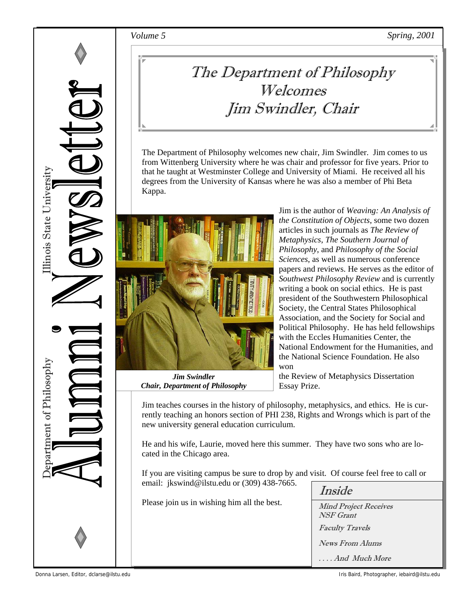

## The Department of Philosophy Welcomes Jim Swindler, Chair

The Department of Philosophy welcomes new chair, Jim Swindler. Jim comes to us from Wittenberg University where he was chair and professor for five years. Prior to that he taught at Westminster College and University of Miami. He received all his degrees from the University of Kansas where he was also a member of Phi Beta Kappa.



*Jim Swindler Chair, Department of Philosophy* 

Jim is the author of *Weaving: An Analysis of the Constitution of Objects*, some two dozen articles in such journals as *The Review of Metaphysics*, *The Southern Journal of Philosophy*, and *Philosophy of the Social Sciences*, as well as numerous conference papers and reviews. He serves as the editor of *Southwest Philosophy Review* and is currently writing a book on social ethics. He is past president of the Southwestern Philosophical Society, the Central States Philosophical Association, and the Society for Social and Political Philosophy. He has held fellowships with the Eccles Humanities Center, the National Endowment for the Humanities, and the National Science Foundation. He also won

the Review of Metaphysics Dissertation Essay Prize.

Jim teaches courses in the history of philosophy, metaphysics, and ethics. He is currently teaching an honors section of PHI 238, Rights and Wrongs which is part of the new university general education curriculum.

He and his wife, Laurie, moved here this summer. They have two sons who are located in the Chicago area.

If you are visiting campus be sure to drop by and visit. Of course feel free to call or email: jkswind@ilstu.edu or (309) 438-7665.

Please join us in wishing him all the best.

| Inside                                    |
|-------------------------------------------|
| <b>Mind Project Receives</b><br>NSF Grant |
| <b>Faculty Travels</b>                    |
| <b>News From Alums</b>                    |
| And Much More                             |

Donna Larsen, Editor, dclarse@ilstu.edu Iris Baird, Photographer, iebaird@ilstu.edu Iris Baird, Photographer, iebaird@ilstu.edu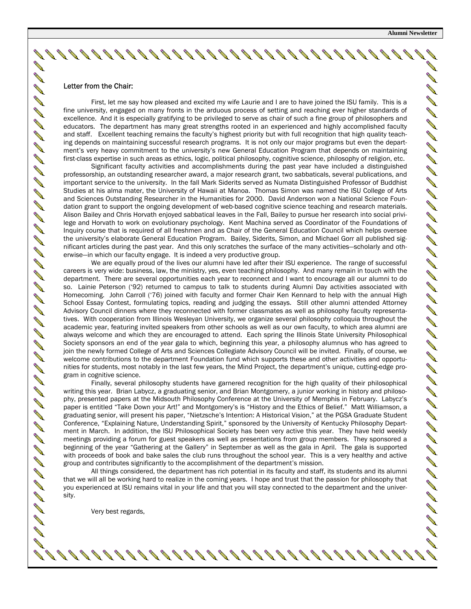**RANCISCO CONTINENTALISTIC ANTICATION RANCISCO CONTROLLER** 

DI DI DI DI DI

DI DI DI DI DI DI DI D

**Contract Contract Contract Contract Contract Contract Contract Contract Contract Contract Contract Contract Contract Contract Contract Contract Contract Contract Contract Contract Contract Contract Contract Contract Contr AND** 

**ANTI** 

**ANTI** 

**COMPA** 

**ANTI** 

**BANDA** 

#### Letter from the Chair:

 First, let me say how pleased and excited my wife Laurie and I are to have joined the ISU family. This is a fine university, engaged on many fronts in the arduous process of setting and reaching ever higher standards of excellence. And it is especially gratifying to be privileged to serve as chair of such a fine group of philosophers and educators. The department has many great strengths rooted in an experienced and highly accomplished faculty and staff. Excellent teaching remains the faculty's highest priority but with full recognition that high quality teaching depends on maintaining successful research programs. It is not only our major programs but even the department's very heavy commitment to the university's new General Education Program that depends on maintaining first-class expertise in such areas as ethics, logic, political philosophy, cognitive science, philosophy of religion, etc.

 Significant faculty activities and accomplishments during the past year have included a distinguished professorship, an outstanding researcher award, a major research grant, two sabbaticals, several publications, and important service to the university. In the fall Mark Siderits served as Numata Distinguished Professor of Buddhist Studies at his alma mater, the University of Hawaii at Manoa. Thomas Simon was named the ISU College of Arts and Sciences Outstanding Researcher in the Humanities for 2000. David Anderson won a National Science Foundation grant to support the ongoing development of web-based cognitive science teaching and research materials. Alison Bailey and Chris Horvath enjoyed sabbatical leaves in the Fall, Bailey to pursue her research into social privilege and Horvath to work on evolutionary psychology. Kent Machina served as Coordinator of the Foundations of Inquiry course that is required of all freshmen and as Chair of the General Education Council which helps oversee the university's elaborate General Education Program. Bailey, Siderits, Simon, and Michael Gorr all published significant articles during the past year. And this only scratches the surface of the many activities—scholarly and otherwise—in which our faculty engage. It is indeed a very productive group.

 We are equally proud of the lives our alumni have led after their ISU experience. The range of successful careers is very wide: business, law, the ministry, yes, even teaching philosophy. And many remain in touch with the department. There are several opportunities each year to reconnect and I want to encourage all our alumni to do so. Lainie Peterson ('92) returned to campus to talk to students during Alumni Day activities associated with Homecoming. John Carroll ('76) joined with faculty and former Chair Ken Kennard to help with the annual High School Essay Contest, formulating topics, reading and judging the essays. Still other alumni attended Attorney Advisory Council dinners where they reconnected with former classmates as well as philosophy faculty representatives. With cooperation from Illinois Wesleyan University, we organize several philosophy colloquia throughout the academic year, featuring invited speakers from other schools as well as our own faculty, to which area alumni are always welcome and which they are encouraged to attend. Each spring the Illinois State University Philosophical Society sponsors an end of the year gala to which, beginning this year, a philosophy alumnus who has agreed to join the newly formed College of Arts and Sciences Collegiate Advisory Council will be invited. Finally, of course, we welcome contributions to the department Foundation fund which supports these and other activities and opportunities for students, most notably in the last few years, the Mind Project, the department's unique, cutting-edge program in cognitive science.

 Finally, several philosophy students have garnered recognition for the high quality of their philosophical writing this year. Brian Labycz, a graduating senior, and Brian Montgomery, a junior working in history and philosophy, presented papers at the Midsouth Philosophy Conference at the University of Memphis in February. Labycz's paper is entitled "Take Down your Art!" and Montgomery's is "History and the Ethics of Belief." Matt Williamson, a graduating senior, will present his paper, "Nietzsche's Intention: A Historical Vision," at the PGSA Graduate Student Conference, "Explaining Nature, Understanding Spirit," sponsored by the University of Kentucky Philosophy Department in March. In addition, the ISU Philosophical Society has been very active this year. They have held weekly meetings providing a forum for guest speakers as well as presentations from group members. They sponsored a beginning of the year "Gathering at the Gallery" in September as well as the gala in April. The gala is supported with proceeds of book and bake sales the club runs throughout the school year. This is a very healthy and active group and contributes significantly to the accomplishment of the department's mission.

 All things considered, the department has rich potential in its faculty and staff, its students and its alumni that we will all be working hard to realize in the coming years. I hope and trust that the passion for philosophy that you experienced at ISU remains vital in your life and that you will stay connected to the department and the university.

19999999999999999999999999999999

Very best regards,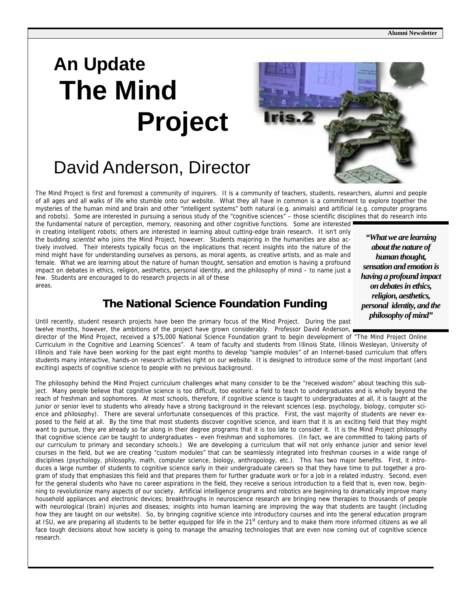# **An Update The Mind Project**

### David Anderson, Director

The Mind Project is first and foremost a community of inquirers. It is a community of teachers, students, researchers, alumni and people of all ages and all walks of life who stumble onto our website. What they all have in common is a commitment to explore together the mysteries of the human mind and brain and other "intelligent systems" both natural (e.g. animals) and artificial (e.g. computer programs and robots). Some are interested in pursuing a serious study of the "cognitive sciences" – those scientific disciplines that do research into

the fundamental nature of perception, memory, reasoning and other cognitive functions. Some are interested in creating intelligent robots; others are interested in learning about cutting-edge brain research. It isn't only the budding *scientist* who joins the Mind Project, however. Students majoring in the humanities are also actively involved. Their interests typically focus on the implications that recent insights into the nature of the mind might have for understanding ourselves as persons, as moral agents, as creative artists, and as male and female. What we are learning about the nature of human thought, sensation and emotion is having a profound impact on debates in ethics, religion, aesthetics, personal identity, and the philosophy of mind – to name just a few. Students are encouraged to do research projects in all of these areas.

### **The National Science Foundation Funding**

*"What we are learning about the nature of human thought, sensation and emotion is having a profound impact on debates in ethics, religion, aesthetics, personal identity, and the philosophy of mind"* 

Until recently, student research projects have been the primary focus of the Mind Project. During the past twelve months, however, the ambitions of the project have grown considerably. Professor David Anderson,

director of the Mind Project, received a \$75,000 National Science Foundation grant to begin development of "The Mind Project Online Curriculum in the Cognitive and Learning Sciences". A team of faculty and students from Illinois State, Illinois Wesleyan, University of Illinois and Yale have been working for the past eight months to develop "sample modules" of an Internet-based curriculum that offers students many interactive, hands-on research activities right on our website. It is designed to introduce some of the most important (and exciting) aspects of cognitive science to people with no previous background.

The philosophy behind the Mind Project curriculum challenges what many consider to be the "received wisdom" about teaching this subject. Many people believe that cognitive science is too difficult, too esoteric a field to teach to undergraduates and is wholly beyond the reach of freshman and sophomores. At most schools, therefore, if cognitive science is taught to undergraduates at all, it is taught at the junior or senior level to students who already have a strong background in the relevant sciences (esp. psychology, biology, computer science and philosophy). There are several unfortunate consequences of this practice. First, the vast majority of students are never exposed to the field at all. By the time that most students discover cognitive science, and learn that it is an exciting field that they might want to pursue, they are already so far along in their degree programs that it is too late to consider it. It is the Mind Project philosophy that cognitive science can be taught to undergraduates - even freshman and sophomores. (In fact, we are committed to taking parts of our curriculum to primary and secondary schools.) We are developing a curriculum that will not only enhance junior and senior level courses in the field, but we are creating "custom modules" that can be seamlessly integrated into freshman courses in a wide range of disciplines (psychology, philosophy, math, computer science, biology, anthropology, etc.). This has two major benefits. First, it introduces a large number of students to cognitive science early in their undergraduate careers so that they have time to put together a program of study that emphasizes this field and that prepares them for further graduate work or for a job in a related industry. Second, even for the general students who have no career aspirations in the field, they receive a serious introduction to a field that is, even now, beginning to revolutionize many aspects of our society. Artificial intelligence programs and robotics are beginning to dramatically improve many household appliances and electronic devices; breakthroughs in neuroscience research are bringing new therapies to thousands of people with neurological (brain) injuries and diseases; insights into human learning are improving the way that students are taught (including how they are taught on our website). So, by bringing cognitive science into introductory courses and into the general education program at ISU, we are preparing all students to be better equipped for life in the 21<sup>st</sup> century and to make them more informed citizens as we all face tough decisions about how society is going to manage the amazing technologies that are even now coming out of cognitive science research.

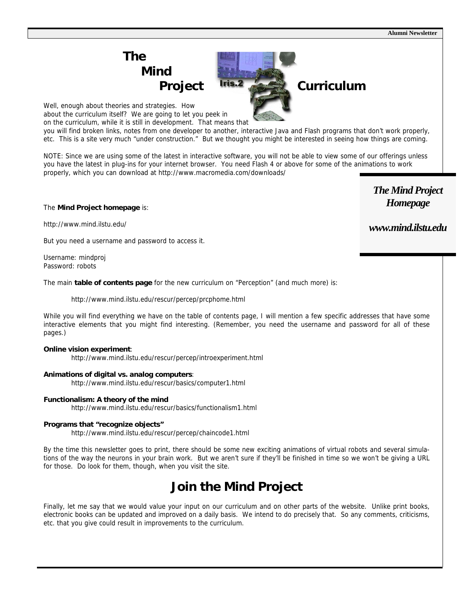**Alumni Newsletter** 

## **The Mind**

Well, enough about theories and strategies. How

about the curriculum itself? We are going to let you peek in on the curriculum, while it is still in development. That means that

you will find broken links, notes from one developer to another, interactive Java and Flash programs that don't work properly, etc. This is a site very much "under construction." But we thought you might be interested in seeing how things are coming.

NOTE: Since we are using some of the latest in interactive software, you will not be able to view some of our offerings unless you have the latest in plug-ins for your internet browser. You need Flash 4 or above for some of the animations to work properly, which you can download at http://www.macromedia.com/downloads/

#### The **Mind Project homepage** is:

http://www.mind.ilstu.edu/

But you need a username and password to access it.

Username: mindproj Password: robots

The main **table of contents page** for the new curriculum on "Perception" (and much more) is:

http://www.mind.ilstu.edu/rescur/percep/prcphome.html

While you will find everything we have on the table of contents page, I will mention a few specific addresses that have some interactive elements that you might find interesting. (Remember, you need the username and password for all of these pages.)

#### **Online vision experiment**:

http://www.mind.ilstu.edu/rescur/percep/introexperiment.html

#### **Animations of digital vs. analog computers**:

http://www.mind.ilstu.edu/rescur/basics/computer1.html

#### **Functionalism: A theory of the mind**

http://www.mind.ilstu.edu/rescur/basics/functionalism1.html

#### **Programs that "recognize objects"**

http://www.mind.ilstu.edu/rescur/percep/chaincode1.html

By the time this newsletter goes to print, there should be some new exciting animations of virtual robots and several simulations of the way the neurons in your brain work. But we aren't sure if they'll be finished in time so we won't be giving a URL for those. Do look for them, though, when you visit the site.

### **Join the Mind Project**

Finally, let me say that we would value your input on our curriculum and on other parts of the website. Unlike print books, electronic books can be updated and improved on a daily basis. We intend to do precisely that. So any comments, criticisms, etc. that you give could result in improvements to the curriculum.

*The Mind Project Homepage* 

### *www.mind.ilstu.edu*

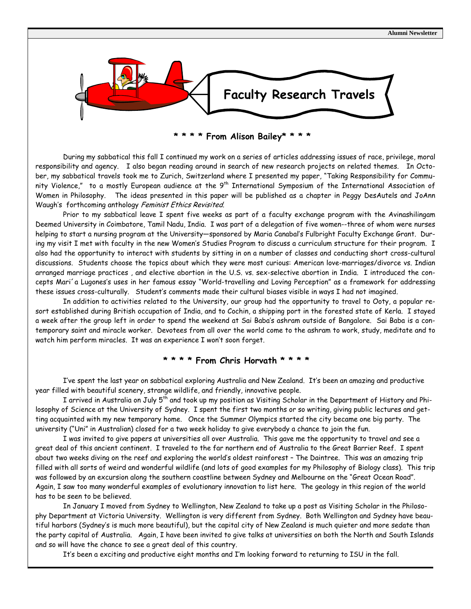

**\* \* \* \* From Alison Bailey\* \* \* \*** 

 During my sabbatical this fall I continued my work on a series of articles addressing issues of race, privilege, moral responsibility and agency. I also began reading around in search of new research projects on related themes. In October, my sabbatical travels took me to Zurich, Switzerland where I presented my paper, "Taking Responsibility for Community Violence," to a mostly European audience at the 9<sup>th</sup> International Symposium of the International Association of Women in Philosophy. The ideas presented in this paper will be published as a chapter in Peggy DesAutels and JoAnn Waugh's forthcoming anthology Feminist Ethics Revisited.

 Prior to my sabbatical leave I spent five weeks as part of a faculty exchange program with the Avinashilingam Deemed University in Coimbatore, Tamil Nadu, India. I was part of a delegation of five women--three of whom were nurses helping to start a nursing program at the University—sponsored by Maria Canabal's Fulbright Faculty Exchange Grant. During my visit I met with faculty in the new Women's Studies Program to discuss a curriculum structure for their program. I also had the opportunity to interact with students by sitting in on a number of classes and conducting short cross-cultural discussions. Students choose the topics about which they were most curious: American love-marriages/divorce vs. Indian arranged marriage practices , and elective abortion in the U.S. vs. sex-selective abortion in India. I introduced the concepts Mari´a Lugones's uses in her famous essay "World-travelling and Loving Perception" as a framework for addressing these issues cross-culturally. Student's comments made their cultural biases visible in ways I had not imagined.

 In addition to activities related to the University, our group had the opportunity to travel to Ooty, a popular resort established during British occupation of India, and to Cochin, a shipping port in the forested state of Kerla. I stayed a week after the group left in order to spend the weekend at Sai Baba's ashram outside of Bangalore. Sai Baba is a contemporary saint and miracle worker. Devotees from all over the world come to the ashram to work, study, meditate and to watch him perform miracles. It was an experience I won't soon forget.

### **\* \* \* \* From Chris Horvath \* \* \* \***

 I've spent the last year on sabbatical exploring Australia and New Zealand. It's been an amazing and productive year filled with beautiful scenery, strange wildlife, and friendly, innovative people.

 I arrived in Australia on July 5th and took up my position as Visiting Scholar in the Department of History and Philosophy of Science at the University of Sydney. I spent the first two months or so writing, giving public lectures and getting acquainted with my new temporary home. Once the Summer Olympics started the city became one big party. The university ("Uni" in Australian) closed for a two week holiday to give everybody a chance to join the fun.

 I was invited to give papers at universities all over Australia. This gave me the opportunity to travel and see a great deal of this ancient continent. I traveled to the far northern end of Australia to the Great Barrier Reef. I spent about two weeks diving on the reef and exploring the world's oldest rainforest – The Daintree. This was an amazing trip filled with all sorts of weird and wonderful wildlife (and lots of good examples for my Philosophy of Biology class). This trip was followed by an excursion along the southern coastline between Sydney and Melbourne on the "Great Ocean Road". Again, I saw too many wonderful examples of evolutionary innovation to list here. The geology in this region of the world has to be seen to be believed.

 In January I moved from Sydney to Wellington, New Zealand to take up a post as Visiting Scholar in the Philosophy Department at Victoria University. Wellington is very different from Sydney. Both Wellington and Sydney have beautiful harbors (Sydney's is much more beautiful), but the capital city of New Zealand is much quieter and more sedate than the party capital of Australia. Again, I have been invited to give talks at universities on both the North and South Islands and so will have the chance to see a great deal of this country.

It's been a exciting and productive eight months and I'm looking forward to returning to ISU in the fall.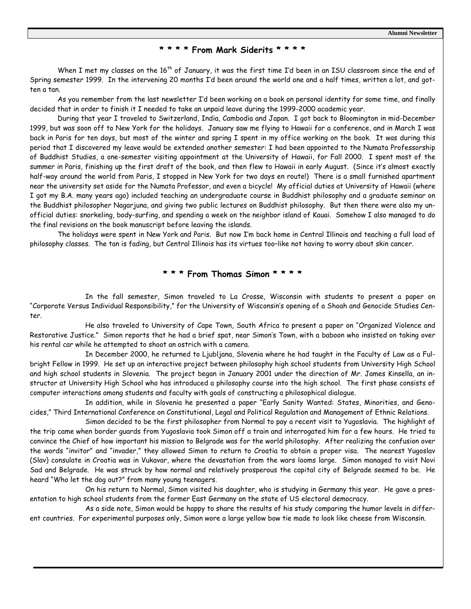#### **\* \* \* \* From Mark Siderits \* \* \* \***

When I met my classes on the 16<sup>th</sup> of January, it was the first time I'd been in an ISU classroom since the end of Spring semester 1999. In the intervening 20 months I'd been around the world one and a half times, written a lot, and gotten a tan.

 As you remember from the last newsletter I'd been working on a book on personal identity for some time, and finally decided that in order to finish it I needed to take an unpaid leave during the 1999-2000 academic year.

 During that year I traveled to Switzerland, India, Cambodia and Japan. I got back to Bloomington in mid-December 1999, but was soon off to New York for the holidays. January saw me flying to Hawaii for a conference, and in March I was back in Paris for ten days, but most of the winter and spring I spent in my office working on the book. It was during this period that I discovered my leave would be extended another semester: I had been appointed to the Numata Professorship of Buddhist Studies, a one-semester visiting appointment at the University of Hawaii, for Fall 2000. I spent most of the summer in Paris, finishing up the first draft of the book, and then flew to Hawaii in early August. (Since it's almost exactly half-way around the world from Paris, I stopped in New York for two days en route!) There is a small furnished apartment near the university set aside for the Numata Professor, and even a bicycle! My official duties at University of Hawaii (where I got my B.A. many years ago) included teaching an undergraduate course in Buddhist philosophy and a graduate seminar on the Buddhist philosopher Nagarjuna, and giving two public lectures on Buddhist philosophy. But then there were also my unofficial duties: snorkeling, body-surfing, and spending a week on the neighbor island of Kauai. Somehow I also managed to do the final revisions on the book manuscript before leaving the islands.

 The holidays were spent in New York and Paris. But now I'm back home in Central Illinois and teaching a full load of philosophy classes. The tan is fading, but Central Illinois has its virtues too–like not having to worry about skin cancer.

#### **\* \* \* From Thomas Simon \* \* \* \***

 In the fall semester, Simon traveled to La Crosse, Wisconsin with students to present a paper on "Corporate Versus Individual Responsibility," for the University of Wisconsin's opening of a Shoah and Genocide Studies Center.

 He also traveled to University of Cape Town, South Africa to present a paper on "Organized Violence and Restorative Justice." Simon reports that he had a brief spat, near Simon's Town, with a baboon who insisted on taking over his rental car while he attempted to shoot an ostrich with a camera.

 In December 2000, he returned to Ljubljana, Slovenia where he had taught in the Faculty of Law as a Fulbright Fellow in 1999. He set up an interactive project between philosophy high school students from University High School and high school students in Slovenia. The project began in January 2001 under the direction of Mr. James Kinsella, an instructor at University High School who has introduced a philosophy course into the high school. The first phase consists of computer interactions among students and faculty with goals of constructing a philosophical dialogue.

 In addition, while in Slovenia he presented a paper "Early Sanity Wanted: States, Minorities, and Genocides," Third International Conference on Constitutional, Legal and Political Regulation and Management of Ethnic Relations.

 Simon decided to be the first philosopher from Normal to pay a recent visit to Yugoslavia. The highlight of the trip came when border guards from Yugoslavia took Simon off a train and interrogated him for a few hours. He tried to convince the Chief of how important his mission to Belgrade was for the world philosophy. After realizing the confusion over the words "invitor" and "invader," they allowed Simon to return to Croatia to obtain a proper visa. The nearest Yugoslav (Slav) consulate in Croatia was in Vukavar, where the devastation from the wars looms large. Simon managed to visit Novi Sad and Belgrade. He was struck by how normal and relatively prosperous the capital city of Belgrade seemed to be. He heard "Who let the dog out?" from many young teenagers.

 On his return to Normal, Simon visited his daughter, who is studying in Germany this year. He gave a presentation to high school students from the former East Germany on the state of US electoral democracy.

 As a side note, Simon would be happy to share the results of his study comparing the humor levels in different countries. For experimental purposes only, Simon wore a large yellow bow tie made to look like cheese from Wisconsin.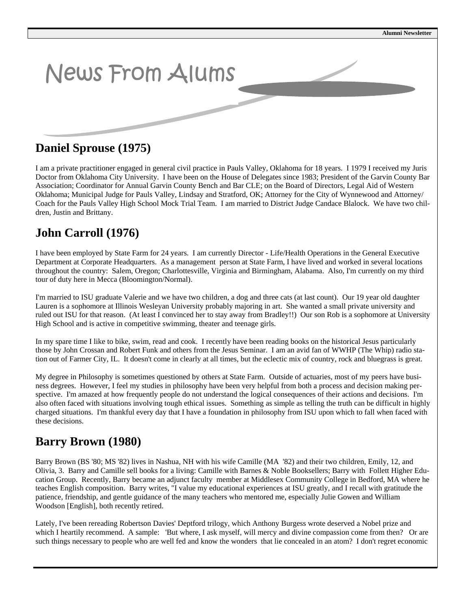

### **Daniel Sprouse (1975)**

I am a private practitioner engaged in general civil practice in Pauls Valley, Oklahoma for 18 years. I 1979 I received my Juris Doctor from Oklahoma City University. I have been on the House of Delegates since 1983; President of the Garvin County Bar Association; Coordinator for Annual Garvin County Bench and Bar CLE; on the Board of Directors, Legal Aid of Western Oklahoma; Municipal Judge for Pauls Valley, Lindsay and Stratford, OK; Attorney for the City of Wynnewood and Attorney/ Coach for the Pauls Valley High School Mock Trial Team. I am married to District Judge Candace Blalock. We have two children, Justin and Brittany.

### **John Carroll (1976)**

I have been employed by State Farm for 24 years. I am currently Director - Life/Health Operations in the General Executive Department at Corporate Headquarters. As a management person at State Farm, I have lived and worked in several locations throughout the country: Salem, Oregon; Charlottesville, Virginia and Birmingham, Alabama. Also, I'm currently on my third tour of duty here in Mecca (Bloomington/Normal).

I'm married to ISU graduate Valerie and we have two children, a dog and three cats (at last count). Our 19 year old daughter Lauren is a sophomore at Illinois Wesleyan University probably majoring in art. She wanted a small private university and ruled out ISU for that reason. (At least I convinced her to stay away from Bradley!!) Our son Rob is a sophomore at University High School and is active in competitive swimming, theater and teenage girls.

In my spare time I like to bike, swim, read and cook. I recently have been reading books on the historical Jesus particularly those by John Crossan and Robert Funk and others from the Jesus Seminar. I am an avid fan of WWHP (The Whip) radio station out of Farmer City, IL. It doesn't come in clearly at all times, but the eclectic mix of country, rock and bluegrass is great.

My degree in Philosophy is sometimes questioned by others at State Farm. Outside of actuaries, most of my peers have business degrees. However, I feel my studies in philosophy have been very helpful from both a process and decision making perspective. I'm amazed at how frequently people do not understand the logical consequences of their actions and decisions. I'm also often faced with situations involving tough ethical issues. Something as simple as telling the truth can be difficult in highly charged situations. I'm thankful every day that I have a foundation in philosophy from ISU upon which to fall when faced with these decisions.

### **Barry Brown (1980)**

Barry Brown (BS '80; MS '82) lives in Nashua, NH with his wife Camille (MA '82) and their two children, Emily, 12, and Olivia, 3. Barry and Camille sell books for a living: Camille with Barnes & Noble Booksellers; Barry with Follett Higher Education Group. Recently, Barry became an adjunct faculty member at Middlesex Community College in Bedford, MA where he teaches English composition. Barry writes, "I value my educational experiences at ISU greatly, and I recall with gratitude the patience, friendship, and gentle guidance of the many teachers who mentored me, especially Julie Gowen and William Woodson [English], both recently retired.

Lately, I've been rereading Robertson Davies' Deptford trilogy, which Anthony Burgess wrote deserved a Nobel prize and which I heartily recommend. A sample: 'But where, I ask myself, will mercy and divine compassion come from then? Or are such things necessary to people who are well fed and know the wonders that lie concealed in an atom? I don't regret economic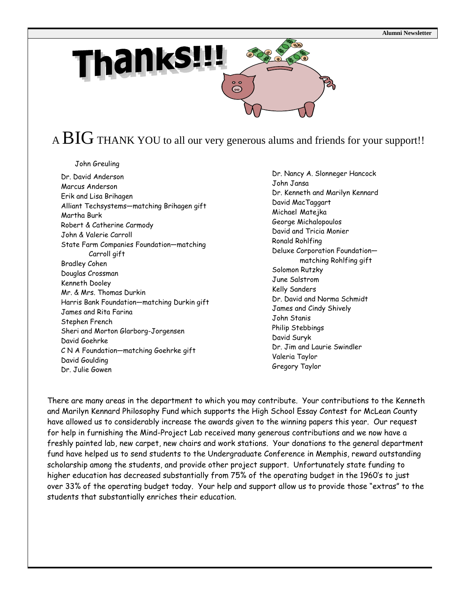

A  $\overline{\text{BIG}}$  THANK YOU to all our very generous alums and friends for your support!!

John Greuling

Dr. David Anderson Marcus Anderson Erik and Lisa Brihagen Alliant Techsystems—matching Brihagen gift Martha Burk Robert & Catherine Carmody John & Valerie Carroll State Farm Companies Foundation—matching Carroll gift Bradley Cohen Douglas Crossman Kenneth Dooley Mr. & Mrs. Thomas Durkin Harris Bank Foundation—matching Durkin gift James and Rita Farina Stephen French Sheri and Morton Glarborg-Jorgensen David Goehrke C N A Foundation—matching Goehrke gift David Goulding Dr. Julie Gowen

 Dr. Nancy A. Slonneger Hancock John Jansa Dr. Kenneth and Marilyn Kennard David MacTaggart Michael Matejka George Michalopoulos David and Tricia Monier Ronald Rohlfing Deluxe Corporation Foundation matching Rohlfing gift Solomon Rutzky June Salstrom Kelly Sanders Dr. David and Norma Schmidt James and Cindy Shively John Stanis Philip Stebbings David Suryk Dr. Jim and Laurie Swindler Valeria Taylor Gregory Taylor

There are many areas in the department to which you may contribute. Your contributions to the Kenneth and Marilyn Kennard Philosophy Fund which supports the High School Essay Contest for McLean County have allowed us to considerably increase the awards given to the winning papers this year. Our request for help in furnishing the Mind-Project Lab received many generous contributions and we now have a freshly painted lab, new carpet, new chairs and work stations. Your donations to the general department fund have helped us to send students to the Undergraduate Conference in Memphis, reward outstanding scholarship among the students, and provide other project support. Unfortunately state funding to higher education has decreased substantially from 75% of the operating budget in the 1960's to just over 33% of the operating budget today. Your help and support allow us to provide those "extras" to the students that substantially enriches their education.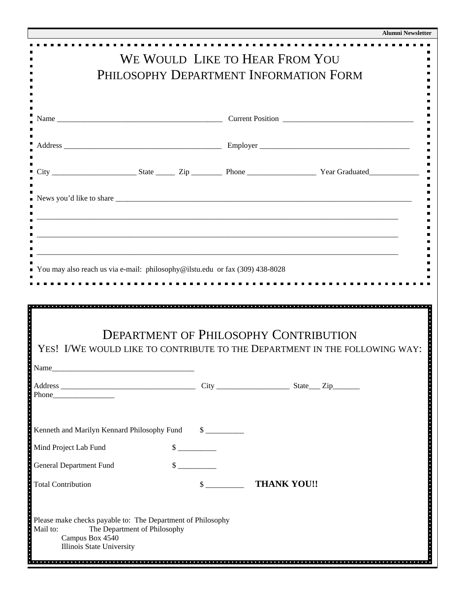|                                                                                                                                                         |                             |                    | <b>Alumni Newsletter</b> |  |  |
|---------------------------------------------------------------------------------------------------------------------------------------------------------|-----------------------------|--------------------|--------------------------|--|--|
| WE WOULD LIKE TO HEAR FROM YOU                                                                                                                          |                             |                    |                          |  |  |
| PHILOSOPHY DEPARTMENT INFORMATION FORM                                                                                                                  |                             |                    |                          |  |  |
|                                                                                                                                                         |                             |                    |                          |  |  |
|                                                                                                                                                         |                             |                    |                          |  |  |
|                                                                                                                                                         |                             |                    |                          |  |  |
|                                                                                                                                                         |                             |                    |                          |  |  |
|                                                                                                                                                         |                             |                    |                          |  |  |
|                                                                                                                                                         |                             |                    |                          |  |  |
| <u> 1980 - Johann Barn, mars ann an t-Amhain ann an t-Amhain ann an t-Amhain ann an t-Amhain ann an t-Amhain an t-</u>                                  |                             |                    |                          |  |  |
|                                                                                                                                                         |                             |                    |                          |  |  |
| You may also reach us via e-mail: philosophy@ilstu.edu or fax (309) 438-8028                                                                            |                             |                    |                          |  |  |
|                                                                                                                                                         |                             |                    |                          |  |  |
|                                                                                                                                                         |                             |                    |                          |  |  |
| <b>DEPARTMENT OF PHILOSOPHY CONTRIBUTION</b><br>YES! I/WE WOULD LIKE TO CONTRIBUTE TO THE DEPARTMENT IN THE FOLLOWING WAY:                              |                             |                    |                          |  |  |
|                                                                                                                                                         |                             |                    |                          |  |  |
|                                                                                                                                                         |                             |                    |                          |  |  |
| Phone Phone                                                                                                                                             |                             |                    |                          |  |  |
| Kenneth and Marilyn Kennard Philosophy Fund                                                                                                             | $\frac{\text{S}}{\text{S}}$ |                    |                          |  |  |
| Mind Project Lab Fund                                                                                                                                   | $\frac{\text{S}}{\text{S}}$ |                    |                          |  |  |
| <b>General Department Fund</b>                                                                                                                          | $\frac{1}{2}$               |                    |                          |  |  |
| <b>Total Contribution</b>                                                                                                                               | $\sim$                      | <b>THANK YOU!!</b> |                          |  |  |
|                                                                                                                                                         |                             |                    |                          |  |  |
| Please make checks payable to: The Department of Philosophy<br>The Department of Philosophy<br>Mail to:<br>Campus Box 4540<br>Illinois State University |                             |                    |                          |  |  |
|                                                                                                                                                         |                             |                    |                          |  |  |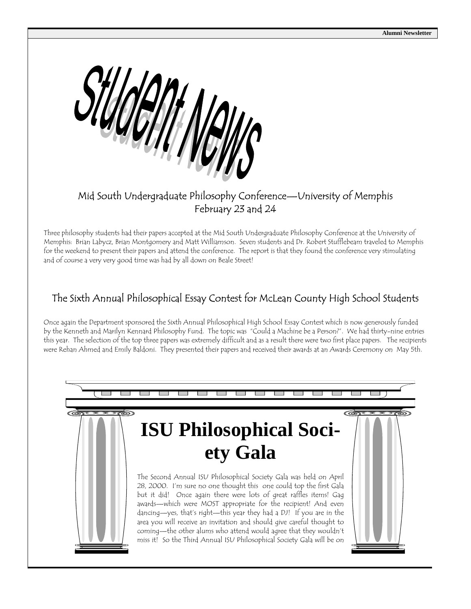

### Mid South Undergraduate Philosophy Conference—University of Memphis February 23 and 24

Three philosophy students had their papers accepted at the Mid South Undergraduate Philosophy Conference at the University of Memphis: Brian Labycz, Brian Montgomery and Matt Williamson. Seven students and Dr. Robert Stufflebeam traveled to Memphis for the weekend to present their papers and attend the conference. The report is that they found the conference very stimulating and of course a very very good time was had by all down on Beale Street!

### The Sixth Annual Philosophical Essay Contest for McLean County High School Students

Once again the Department sponsored the Sixth Annual Philosophical High School Essay Contest which is now generously funded by the Kenneth and Marilyn Kennard Philosophy Fund. The topic was "Could a Machine be a Person?". We had thirty-nine entries this year. The selection of the top three papers was extremely difficult and as a result there were two first place papers. The recipients were Rehan Ahmed and Emily Baldoni. They presented their papers and received their awards at an Awards Ceremony on May 5th.

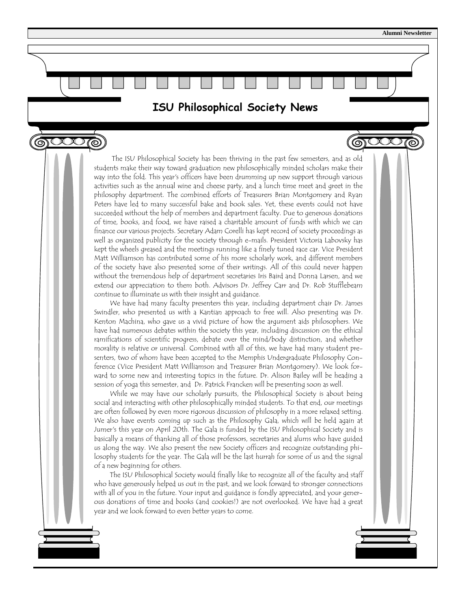$\bigcirc$ 

**ISU Philosophical Society News** 

෨ඁඎ

 The ISU Philosophical Society has been thriving in the past few semesters, and as old students make their way toward graduation new philosophically minded scholars make their way into the fold. This year's officers have been drumming up new support through various activities such as the annual wine and cheese party, and a lunch time meet and greet in the philosophy department. The combined efforts of Treasurers Brian Montgomery and Ryan Peters have led to many successful bake and book sales. Yet, these events could not have succeeded without the help of members and department faculty. Due to generous donations of time, books, and food, we have raised a charitable amount of funds with which we can finance our various projects. Secretary Adam Corelli has kept record of society proceedings as well as organized publicity for the society through e-mails. President Victoria Labovsky has kept the wheels greased and the meetings running like a finely tuned race car. Vice President Matt Williamson has contributed some of his more scholarly work, and different members of the society have also presented some of their writings. All of this could never happen without the tremendous help of department secretaries Iris Baird and Donna Larsen, and we extend our appreciation to them both. Advisors Dr. Jeffrey Carr and Dr. Rob Stufflebeam continue to illuminate us with their insight and guidance.

 We have had many faculty presenters this year, including department chair Dr. James Swindler, who presented us with a Kantian approach to free will. Also presenting was Dr. Kenton Machina, who gave us a vivid picture of how the argument aids philosophers. We have had numerous debates within the society this year, including discussion on the ethical ramifications of scientific progress, debate over the mind/body distinction, and whether morality is relative or universal. Combined with all of this, we have had many student presenters, two of whom have been accepted to the Memphis Undergraduate Philosophy Conference (Vice President Matt Williamson and Treasurer Brian Montgomery). We look forward to some new and interesting topics in the future. Dr. Alison Bailey will be heading a session of yoga this semester, and Dr. Patrick Francken will be presenting soon as well.

 While we may have our scholarly pursuits, the Philosophical Society is about being social and interacting with other philosophically minded students. To that end, our meetings are often followed by even more rigorous discussion of philosophy in a more relaxed setting. We also have events coming up such as the Philosophy Gala, which will be held again at Jumer's this year on April 20th. The Gala is funded by the ISU Philosophical Society and is basically a means of thanking all of those professors, secretaries and alums who have guided us along the way. We also present the new Society officers and recognize outstanding philosophy students for the year. The Gala will be the last hurrah for some of us and the signal of a new beginning for others.

 The ISU Philosophical Society would finally like to recognize all of the faculty and staff who have generously helped us out in the past, and we look forward to stronger connections with all of you in the future. Your input and guidance is fondly appreciated, and your generous donations of time and books (and cookies!) are not overlooked. We have had a great year and we look forward to even better years to come.